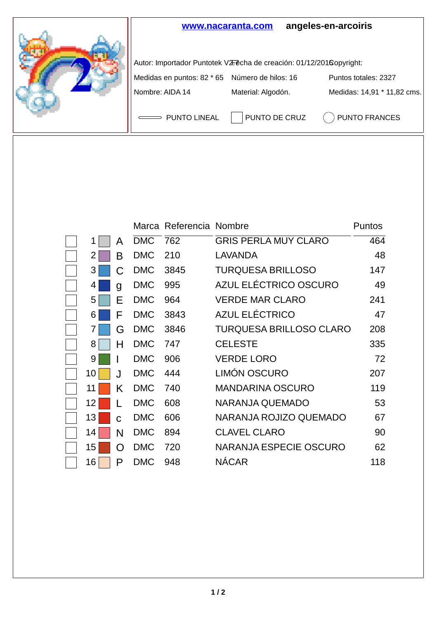

|    |   |            | Marca Referencia Nombre |                             | Puntos |
|----|---|------------|-------------------------|-----------------------------|--------|
| 1  | A | <b>DMC</b> | 762                     | <b>GRIS PERLA MUY CLARO</b> | 464    |
| 2  | В | <b>DMC</b> | 210                     | LAVANDA                     | 48     |
| 3  | C | <b>DMC</b> | 3845                    | TURQUESA BRILLOSO           | 147    |
| 4  | g | <b>DMC</b> | 995                     | AZUL ELÉCTRICO OSCURO       | 49     |
| 5  | E | <b>DMC</b> | 964                     | <b>VERDE MAR CLARO</b>      | 241    |
| 6  | F | <b>DMC</b> | 3843                    | AZUL ELÉCTRICO              | 47     |
| 7  | G | <b>DMC</b> | 3846                    | TURQUESA BRILLOSO CLARO     | 208    |
| 8  | н | <b>DMC</b> | 747                     | <b>CELESTE</b>              | 335    |
| 9  |   | <b>DMC</b> | 906                     | <b>VERDE LORO</b>           | 72     |
| 10 | J | <b>DMC</b> | 444                     | LIMÓN OSCURO                | 207    |
| 11 | Κ | <b>DMC</b> | 740                     | <b>MANDARINA OSCURO</b>     | 119    |
| 12 | L | <b>DMC</b> | 608                     | NARANJA QUEMADO             | 53     |
| 13 | C | <b>DMC</b> | 606                     | NARANJA ROJIZO QUEMADO      | 67     |
| 14 | N | <b>DMC</b> | 894                     | <b>CLAVEL CLARO</b>         | 90     |
| 15 | O | <b>DMC</b> | 720                     | NARANJA ESPECIE OSCURO      | 62     |
| 16 | P | <b>DMC</b> | 948                     | <b>NÁCAR</b>                | 118    |